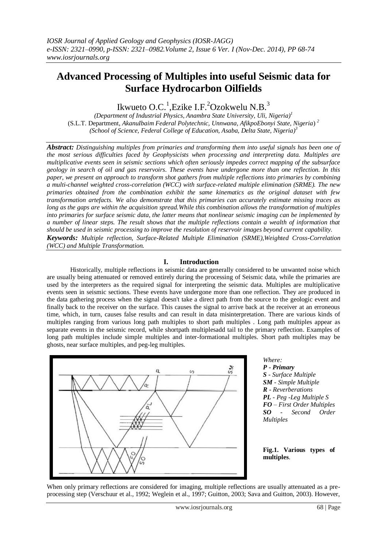# **Advanced Processing of Multiples into useful Seismic data for Surface Hydrocarbon Oilfields**

Ikwueto O.C.<sup>1</sup>, Ezike I.F.<sup>2</sup>Ozokwelu N.B.<sup>3</sup>

*(Department of Industrial Physics, Anambra State University, Uli, Nigeria) 1* (S.L.T. Department, *AkanuIbaim Federal Polytechnic, Unnwana, AfikpoEbonyi State, Nigeria*) *<sup>2</sup> (School of Science, Federal College of Education, Asaba, Delta State, Nigeria) 3*

*Abstract: Distinguishing multiples from primaries and transforming them into useful signals has been one of the most serious difficulties faced by Geophysicists when processing and interpreting data. Multiples are multiplicative events seen in seismic sections which often seriously impedes correct mapping of the subsurface geology in search of oil and gas reservoirs. These events have undergone more than one reflection. In this paper, we present an approach to transform shot gathers from multiple reflections into primaries by combining a multi-channel weighted cross-correlation (WCC) with surface-related multiple elimination (SRME). The new primaries obtained from the combination exhibit the same kinematics as the original dataset with few transformation artefacts. We also demonstrate that this primaries can accurately estimate missing traces as long as the gaps are within the acquisition spread.While this combination allows the transformation of multiples into primaries for surface seismic data, the latter means that nonlinear seismic imaging can be implemented by a number of linear steps. The result shows that the multiple reflections contain a wealth of information that should be used in seismic processing to improve the resolution of reservoir images beyond current capability. Keywords: Multiple reflection, Surface-Related Multiple Elimination (SRME),Weighted Cross-Correlation (WCC) and Multiple Transformation.*

### **I. Introduction**

Historically, multiple reflections in seismic data are generally considered to be unwanted noise which are usually being attenuated or removed entirely during the processing of Seismic data, while the primaries are used by the interpreters as the required signal for interpreting the seismic data. Multiples are multiplicative events seen in seismic sections. These events have undergone more than one reflection. They are produced in the data gathering process when the signal doesn't take a direct path from the source to the geologic event and finally back to the receiver on the surface. This causes the signal to arrive back at the receiver at an erroneous time, which, in turn, causes false results and can result in data misinterpretation. There are various kinds of multiples ranging from various [long path multiples](file:\\TRU\Documents\carrie\longpath.html) to [short path multiples](http://www.geol.lsu.edu/jlorenzo/ReflectSeismol97/klwoodring/www/Multiples2.html) . Long path multiples appear as separate events in the seismic record, while shortpath multiplesadd tail to the primary reflection. Examples of long path multiples include simple multiples and inter-formational multiples. Short path multiples may be ghosts, near surface multiples, and peg-leg multiples.



*Where: P - Primary S - Surface Multiple SM - Simple Multiple R - Reverberations PL - Peg -Leg Multiple S FO – First Order Multiples SO - Second Order Multiples*

**Fig.1. Various types of multiples**.

When only primary reflections are considered for imaging, multiple reflections are usually attenuated as a preprocessing step (Verschuur et al., 1992; Weglein et al., 1997; Guitton, 2003; Sava and Guitton, 2003). However,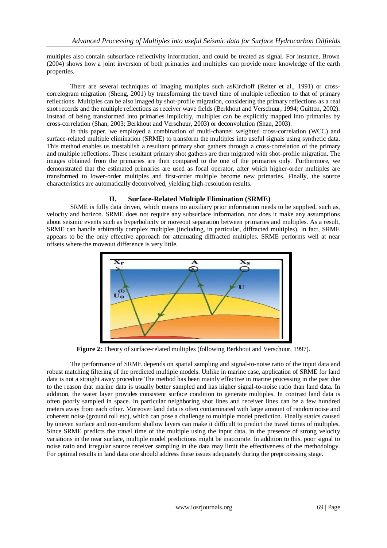multiples also contain subsurface reflectivity information, and could be treated as signal. For instance, Brown (2004) shows how a joint inversion of both primaries and multiples can provide more knowledge of the earth properties.

There are several techniques of imaging multiples such asKirchoff (Reiter et al., 1991) or crosscorrelogram migration (Sheng, 2001) by transforming the travel time of multiple reflection to that of primary reflections. Multiples can be also imaged by shot-profile migration, considering the primary reflections as a real shot records and the multiple reflections as receiver wave fields (Berkhout and Verschuur, 1994; Guitton, 2002). Instead of being transformed into primaries implicitly, multiples can be explicitly mapped into primaries by cross-correlation (Shan, 2003; Berkhout and Verschuur, 2003) or deconvolution (Shan, 2003).

In this paper, we employed a combination of multi-channel weighted cross-correlation (WCC) and surface-related multiple elimination (SRME) to transform the multiples into useful signals using synthetic data. This method enables us toestablish a resultant primary shot gathers through a cross-correlation of the primary and multiple reflections. These resultant primary shot gathers are then migrated with shot-profile migration. The images obtained from the primaries are then compared to the one of the primaries only. Furthermore, we demonstrated that the estimated primaries are used as focal operator, after which higher-order multiples are transformed to lower-order multiples and first-order multiple become new primaries. Finally, the source characteristics are automatically deconvolved, yielding high-resolution results.

### **II. Surface-Related Multiple Elimination (SRME)**

SRME is fully data driven, which means no auxiliary prior information needs to be supplied, such as, velocity and horizon. SRME does not require any subsurface information, nor does it make any assumptions about seismic events such as hyperbolicity or moveout separation between primaries and multiples. As a result, SRME can handle arbitrarily complex multiples (including, in particular, diffracted multiples). In fact, SRME appears to be the only effective approach for attenuating diffracted multiples. SRME performs well at near offsets where the moveout difference is very little.



**Figure 2:** Theory of surface-related multiples (following Berkhout and Verschuur, 1997).

The performance of SRME depends on spatial sampling and signal-to-noise ratio of the input data and robust matching filtering of the predicted multiple models. Unlike in marine case, application of SRME for land data is not a straight away procedure The method has been mainly effective in marine processing in the past due to the reason that marine data is usually better sampled and has higher signal-to-noise ratio than land data. In addition, the water layer provides consistent surface condition to generate multiples. In contrast land data is often poorly sampled in space. In particular neighboring shot lines and receiver lines can be a few hundred meters away from each other. Moreover land data is often contaminated with large amount of random noise and coherent noise (ground roll etc), which can pose a challenge to multiple model prediction. Finally statics caused by uneven surface and non-uniform shallow layers can make it difficult to predict the travel times of multiples. Since SRME predicts the travel time of the multiple using the input data, in the presence of strong velocity variations in the near surface, multiple model predictions might be inaccurate. In addition to this, poor signal to noise ratio and irregular source receiver sampling in the data may limit the effectiveness of the methodology. For optimal results in land data one should address these issues adequately during the preprocessing stage.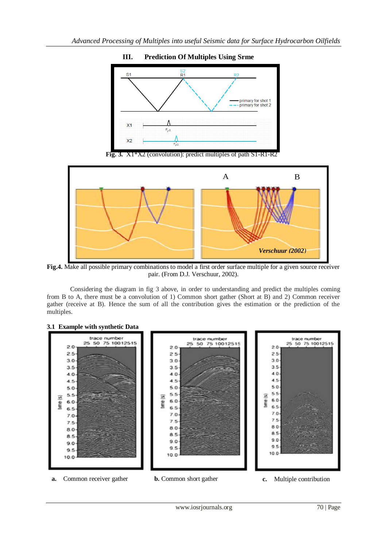

## **III. Prediction Of Multiples Using Srme**

**Fig. 3.** X1\*X2 (convolution): predict multiples of path S1-R1-R2



**Fig.4.** Make all possible primary combinations to model a first order surface multiple for a given source receiver pair. (From D.J. Verschuur, 2002).

Considering the diagram in fig 3 above, in order to understanding and predict the multiples coming from B to A, there must be a convolution of 1) Common short gather (Short at B) and 2) Common receiver gather (receive at B). Hence the sum of all the contribution gives the estimation or the prediction of the multiples.

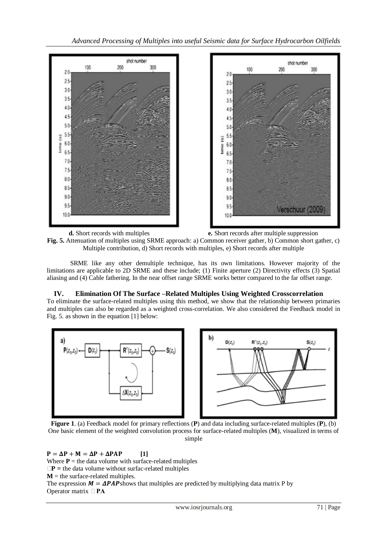

**d.** Short records with multiples **e.** Short records after multiple suppression **Fig. 5.** Attenuation of multiples using SRME approach: a) Common receiver gather, b) Common short gather, c) Multiple contribution, d) Short records with multiples, e) Short records after multiple

SRME like any other demultiple technique, has its own limitations. However majority of the limitations are applicable to 2D SRME and these include; (1) Finite aperture (2) Directivity effects (3) Spatial aliasing and (4) Cable fathering. In the near offset range SRME works better compared to the far offset range.

## **IV. Elimination Of The Surface –Related Multiples Using Weighted Crosscorrelation**

To eliminate the surface-related multiples using this method, we show that the relationship between primaries and multiples can also be regarded as a weighted cross-correlation. We also considered the Feedback model in Fig. 5. as shown in the equation [1] below:



**Figure 1**. (a) Feedback model for primary reflections (**P**) and data including surface-related multiples (**P**), (b) One basic element of the weighted convolution process for surface-related multiples (**M**), visualized in terms of simple

 $P = \Delta P + M = \Delta P + \Delta P A P$  [1] Where  $P =$  the data volume with surface-related multiples  $\Box P$  = the data volume without surfac-related multiples  $M =$  the surface-related multiples. The expression  $M = \Delta PAP$  shows that multiples are predicted by multiplying data matrix P by Operator matrix **ΔPA**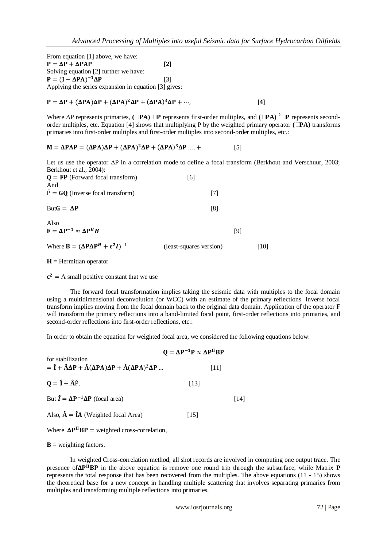From equation [1] above, we have:  $P = \Delta P + \Delta P A P$  [2] Solving equation [2] further we have:  $P = (I - \Delta PA)^{-1} \Delta P$  [3] Applying the series expansion in equation [3] gives:

$$
P = \Delta P + (\Delta P A)\Delta P + (\Delta P A)^2 \Delta P + (\Delta P A)^3 \Delta P + \cdots,
$$
 [4]

Where ΔP represents primaries,  $(\Box PA) \Box P$  represents first-order multiples, and  $(\Box PA)^2 \Box P$  represents secondorder multiples, etc. Equation [4] shows that multiplying P by the weighted primary operator **(ΔPA)** transforms primaries into first-order multiples and first-order multiples into second-order multiples, etc.:

$$
M = \Delta PAP = (\Delta P A)\Delta P + (\Delta P A)^2 \Delta P + (\Delta P A)^3 \Delta P .... + \tag{5}
$$

Let us use the operator ΔP in a correlation mode to define a focal transform (Berkhout and Verschuur, 2003; Berkhout et al., 2004):

| $Q = FP$ (Forward focal transform)<br>And        | [6] |                |    |
|--------------------------------------------------|-----|----------------|----|
| $\hat{P} = GQ$ (Inverse focal transform)         |     | T <sub>7</sub> |    |
| $ButG = \Delta P$                                |     | [8]            |    |
| Also<br>$F = \Delta P^{-1} \approx \Delta P^H B$ |     |                | 19 |

Where 
$$
\mathbf{B} = (\Delta \mathbf{P} \Delta \mathbf{P}^H + \epsilon^2 \mathbf{I})^{-1}
$$
 (least-squares version) [10]

 $H = Hermitian operator$ 

 $\epsilon^2$  = A small positive constant that we use

The forward focal transformation implies taking the seismic data with multiples to the focal domain using a multidimensional deconvolution (or WCC) with an estimate of the primary reflections. Inverse focal transform implies moving from the focal domain back to the original data domain. Application of the operator F will transform the primary reflections into a band-limited focal point, first-order reflections into primaries, and second-order reflections into first-order reflections, etc.:

In order to obtain the equation for weighted focal area, we considered the following equations below:

|                                                                                                                                                                                                                          | $Q = \Delta P^{-1}P \approx \Delta P^{H}BP$ |      |  |
|--------------------------------------------------------------------------------------------------------------------------------------------------------------------------------------------------------------------------|---------------------------------------------|------|--|
| for stabilization<br>= $\hat{\mathbf{I}} + \hat{\mathbf{A}} \Delta \mathbf{P} + \hat{\mathbf{A}} (\Delta \mathbf{P} \mathbf{A}) \Delta \mathbf{P} + \hat{\mathbf{A}} (\Delta \mathbf{P} \mathbf{A})^2 \Delta \mathbf{P}$ | 111 I                                       |      |  |
| $\mathbf{Q} = \hat{\mathbf{I}} + \hat{\mathbf{A}} \hat{\mathbf{P}}$ ,                                                                                                                                                    | [13]                                        |      |  |
| But $\hat{\mathbf{I}} = \Delta \mathbf{P}^{-1} \Delta \mathbf{P}$ (focal area)                                                                                                                                           |                                             | [14] |  |
| Also, $\hat{A} = \hat{I}A$ (Weighted focal Area)                                                                                                                                                                         | 115 I                                       |      |  |

Where  $\Delta P^H B P$  = weighted cross-correlation,

 **= weighting factors.** 

In weighted Cross-correlation method, all shot records are involved in computing one output trace. The presence of $\Delta P^HBP$  in the above equation is remove one round trip through the subsurface, while Matrix  $P$ represents the total response that has been recovered from the multiples. The above equations (11 - 15) shows the theoretical base for a new concept in handling multiple scattering that involves separating primaries from multiples and transforming multiple reflections into primaries.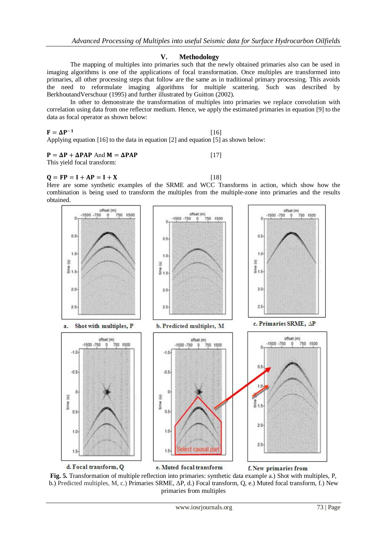#### **V. Methodology**

The mapping of multiples into primaries such that the newly obtained primaries also can be used in imaging algorithms is one of the applications of focal transformation. Once multiples are transformed into primaries, all other processing steps that follow are the same as in traditional primary processing. This avoids the need to reformulate imaging algorithms for multiple scattering. Such was described by BerkhoutandVerschuur (1995) and further illustrated by Guitton (2002).

In other to demonstrate the transformation of multiples into primaries we replace convolution with correlation using data from one reflector medium. Hence, we apply the estimated primaries in equation [9] to the data as focal operator as shown below:

[16]

## $F = \Delta P^{-1}$

Applying equation [16] to the data in equation [2] and equation [5] as shown below:

#### $P = \Delta P + \Delta P A P$  And  $M = \Delta P A P$  [17]

This yield focal transform:

## $Q = FP = I + AP = I + X$  [18]

Here are some synthetic examples of the SRME and WCC Transforms in action, which show how the combination is being used to transform the multiples from the multiple-zone into primaries and the results obtained.



**Fig. 5.** Transformation of multiple reflection into primaries: synthetic data example a.) Shot with multiples, P, b.) Predicted multiples, M, c.) Primaries SRME, ΔP, d.) Focal transform, Q, e.) Muted focal transform, f.) New primaries from multiples